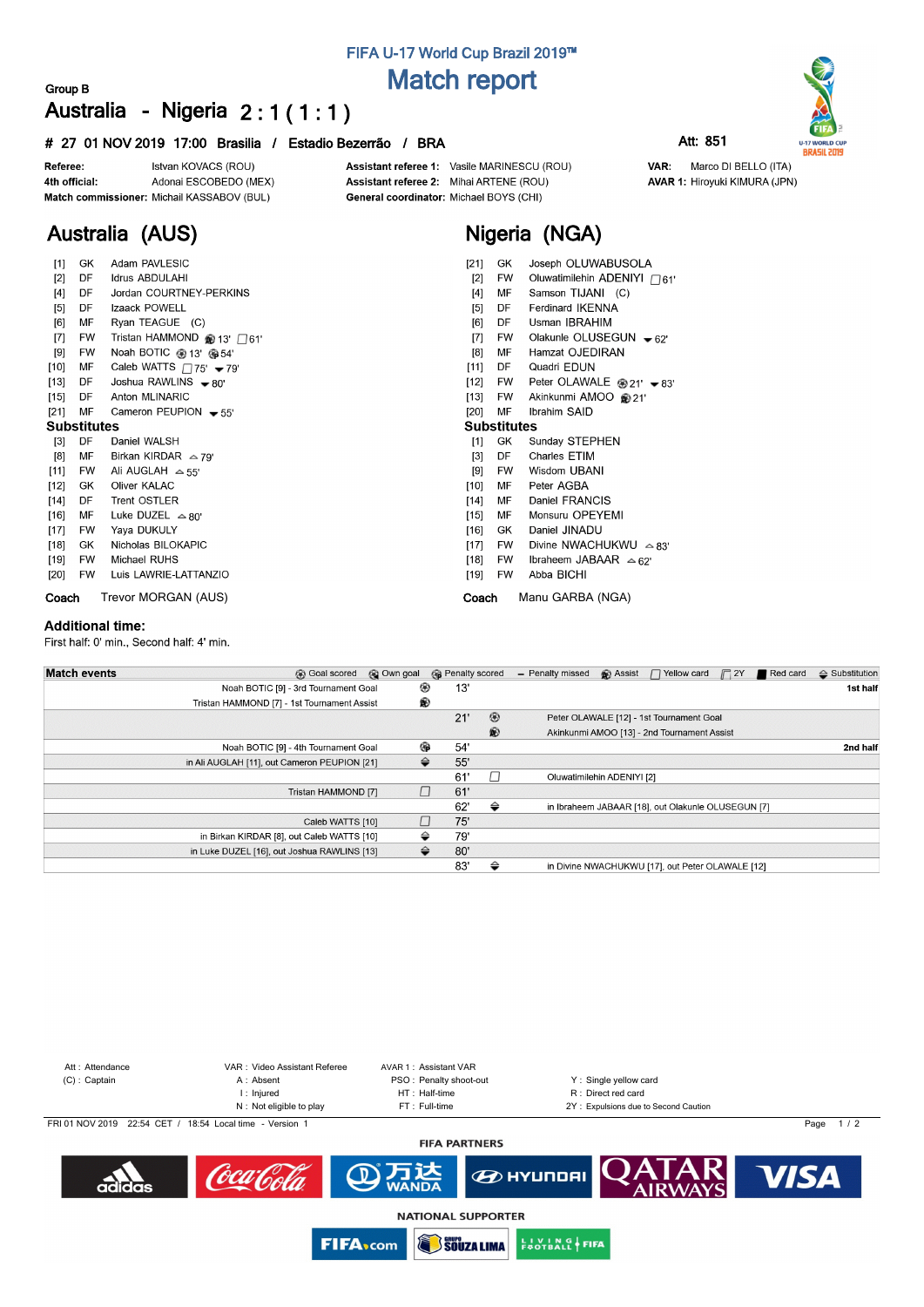# **FIFA U-17 World Cup Brazil 2019™ Match report**

### **Group B Australia - Nigeria 2 : 1 ( 1 : 1 )**

### **# 27 01 NOV 2019 17:00 Brasilia / Estadio Bezerrão / BRA Att: 851**



**Australia (AUS)**

Assistant referee 1: Vasile MARINESCU (ROU) Assistant referee 2: Mihai ARTENE (ROU) General coordinator: Michael BOYS (CHI)

# **Nigeria (NGA)**

| [1]                | GK        | Adam PAVLESIC                                    | [21]               | GK        | Joseph OLUWABUSOLA                    |  |  |  |  |  |  |
|--------------------|-----------|--------------------------------------------------|--------------------|-----------|---------------------------------------|--|--|--|--|--|--|
| $[2]$              | DF        | <b>Idrus ABDULAHI</b>                            | $[2]$              | FW        | Oluwatimilehin ADENIYI $\bigcap_{61}$ |  |  |  |  |  |  |
| $[4]$              | DF        | Jordan COURTNEY-PERKINS                          | $[4]$              | MF        | Samson TIJANI (C)                     |  |  |  |  |  |  |
| [5]                | DF        | Izaack POWELL                                    |                    | DF        | <b>Ferdinard IKENNA</b>               |  |  |  |  |  |  |
| [6]                | МF        | Ryan TEAGUE (C)                                  | [6]                | DF        | Usman IBRAHIM                         |  |  |  |  |  |  |
| $[7]$              | <b>FW</b> | Tristan HAMMOND @ 13' $\Box$ 61'                 | [7]                | <b>FW</b> | Olakunle OLUSEGUN $\bullet$ 62'       |  |  |  |  |  |  |
| [9]                | FW        | Noah BOTIC @ 13' @ 54'                           | [8]                | МF        | Hamzat OJEDIRAN                       |  |  |  |  |  |  |
| $[10]$             | МF        | Caleb WATTS $\Box$ 75' $\blacktriangleright$ 79' | [11]               | DF        | Quadri EDUN                           |  |  |  |  |  |  |
| $[13]$             | DF        | Joshua RAWLINS $\bullet$ 80'                     | $[12]$             | FW        | Peter OLAWALE $@21' - 83'$            |  |  |  |  |  |  |
| $[15]$             | DF        | Anton MLINARIC                                   | $[13]$             | <b>FW</b> | Akinkunmi AMOO @21'                   |  |  |  |  |  |  |
| $[21]$             | MF        | Cameron PEUPION $-55'$                           | $[20]$             | MF        | Ibrahim SAID                          |  |  |  |  |  |  |
| <b>Substitutes</b> |           |                                                  | <b>Substitutes</b> |           |                                       |  |  |  |  |  |  |
| $[3]$              | DF        | Daniel WALSH                                     | [1]                | GK        | Sunday STEPHEN                        |  |  |  |  |  |  |
| [8]                | МF        | Birkan KIRDAR $\approx$ 79'                      | $[3]$              | DF        | <b>Charles ETIM</b>                   |  |  |  |  |  |  |
| $[11]$             | <b>FW</b> | Ali AUGLAH $\approx$ 55'                         |                    | <b>FW</b> | Wisdom UBANI                          |  |  |  |  |  |  |
| $[12]$             | GK        | Oliver KALAC                                     | $[10]$             | МF        | Peter AGBA                            |  |  |  |  |  |  |
| $[14]$             | DF        | <b>Trent OSTLER</b>                              | $[14]$             | МF        | Daniel FRANCIS                        |  |  |  |  |  |  |
| $[16]$             | МF        | Luke DUZEL $\approx$ 80'                         | $[15]$             | MF        | Monsuru OPEYEMI                       |  |  |  |  |  |  |
| $[17]$             | <b>FW</b> | Yaya DUKULY                                      | $[16]$             | GK        | Daniel JINADU                         |  |  |  |  |  |  |
| $[18]$             | GK        | Nicholas BILOKAPIC                               | $[17]$             | FW        | Divine NWACHUKWU $\approx$ 83'        |  |  |  |  |  |  |
| [19]               | FW        | Michael RUHS                                     | $[18]$             | FW        | Ibraheem JABAAR $\approx 62^{\circ}$  |  |  |  |  |  |  |
| $[20]$             | <b>FW</b> | Luis LAWRIE-LATTANZIO                            | [19]               | FW        | Abba BICHI                            |  |  |  |  |  |  |
| Coach              |           | Trevor MORGAN (AUS)                              | Coach              |           | Manu GARBA (NGA)                      |  |  |  |  |  |  |

#### **Additional time:**

First half: 0' min., Second half: 4' min.

| <b>Match events</b>                          | <b>B</b> Goal scored | © Own goal |   | <b>R</b> Penalty scored |                | - Penalty missed           | $\bigcirc$ Assist $\bigcap$ Yellow card            | $\Box$ 2Y | Red card | $\triangle$ Substitution |
|----------------------------------------------|----------------------|------------|---|-------------------------|----------------|----------------------------|----------------------------------------------------|-----------|----------|--------------------------|
| Noah BOTIC [9] - 3rd Tournament Goal         |                      |            | ⊛ | 13'                     |                |                            |                                                    |           |          | 1st half                 |
| Tristan HAMMOND [7] - 1st Tournament Assist  |                      |            | ® |                         |                |                            |                                                    |           |          |                          |
|                                              |                      |            |   | 21'                     | $\circledcirc$ |                            | Peter OLAWALE [12] - 1st Tournament Goal           |           |          |                          |
|                                              |                      |            |   |                         | $\circledR$    |                            | Akinkunmi AMOO [13] - 2nd Tournament Assist        |           |          |                          |
| Noah BOTIC [9] - 4th Tournament Goal         |                      |            | ⊕ | 54'                     |                |                            |                                                    |           |          | 2nd half                 |
| in Ali AUGLAH [11], out Cameron PEUPION [21] |                      |            | ⇔ | 55'                     |                |                            |                                                    |           |          |                          |
|                                              |                      |            |   | 61'                     | $\perp$        | Oluwatimilehin ADENIYI [2] |                                                    |           |          |                          |
|                                              | Tristan HAMMOND [7]  |            |   | 61'                     |                |                            |                                                    |           |          |                          |
|                                              |                      |            |   | 62'                     | ⇔              |                            | in Ibraheem JABAAR [18], out Olakunle OLUSEGUN [7] |           |          |                          |
|                                              | Caleb WATTS [10]     |            |   | 75'                     |                |                            |                                                    |           |          |                          |
| in Birkan KIRDAR [8], out Caleb WATTS [10]   |                      |            | ⇔ | 79'                     |                |                            |                                                    |           |          |                          |
| in Luke DUZEL [16], out Joshua RAWLINS [13]  |                      |            | ⇔ | 80'                     |                |                            |                                                    |           |          |                          |
|                                              |                      |            |   | 83'                     | ⇔              |                            | in Divine NWACHUKWU [17], out Peter OLAWALE [12]   |           |          |                          |





**EUVING FIFA** 

**FIFA**<sub>com</sub>





VAR: Marco DI BELLO (ITA) **AVAR 1: Hiroyuki KIMURA (JPN)**